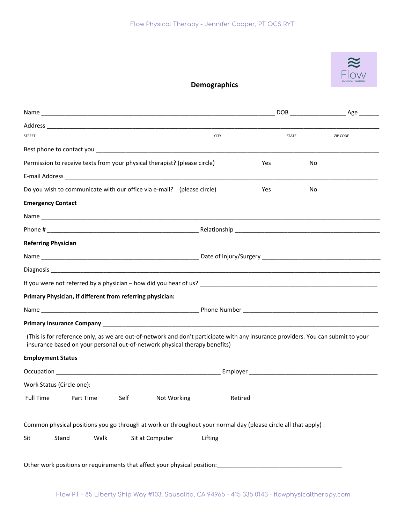

## **Demographics**

| <b>STREET</b>                                                             |                                                                                                                 |                                                                            |             | <b>CITY</b>                                                                                                                      |     | <b>STATE</b> | ZIP CODE |  |
|---------------------------------------------------------------------------|-----------------------------------------------------------------------------------------------------------------|----------------------------------------------------------------------------|-------------|----------------------------------------------------------------------------------------------------------------------------------|-----|--------------|----------|--|
|                                                                           |                                                                                                                 |                                                                            |             |                                                                                                                                  |     |              |          |  |
| Permission to receive texts from your physical therapist? (please circle) |                                                                                                                 |                                                                            |             |                                                                                                                                  | Yes | No           |          |  |
|                                                                           |                                                                                                                 |                                                                            |             |                                                                                                                                  |     |              |          |  |
|                                                                           |                                                                                                                 | Do you wish to communicate with our office via e-mail? (please circle)     |             |                                                                                                                                  | Yes | No           |          |  |
| <b>Emergency Contact</b>                                                  |                                                                                                                 |                                                                            |             |                                                                                                                                  |     |              |          |  |
|                                                                           |                                                                                                                 |                                                                            |             |                                                                                                                                  |     |              |          |  |
|                                                                           |                                                                                                                 |                                                                            |             |                                                                                                                                  |     |              |          |  |
| <b>Referring Physician</b>                                                |                                                                                                                 |                                                                            |             |                                                                                                                                  |     |              |          |  |
|                                                                           |                                                                                                                 |                                                                            |             |                                                                                                                                  |     |              |          |  |
|                                                                           |                                                                                                                 |                                                                            |             |                                                                                                                                  |     |              |          |  |
|                                                                           |                                                                                                                 |                                                                            |             |                                                                                                                                  |     |              |          |  |
|                                                                           |                                                                                                                 | Primary Physician, if different from referring physician:                  |             |                                                                                                                                  |     |              |          |  |
|                                                                           |                                                                                                                 |                                                                            |             |                                                                                                                                  |     |              |          |  |
|                                                                           |                                                                                                                 |                                                                            |             |                                                                                                                                  |     |              |          |  |
|                                                                           |                                                                                                                 | insurance based on your personal out-of-network physical therapy benefits) |             | (This is for reference only, as we are out-of-network and don't participate with any insurance providers. You can submit to your |     |              |          |  |
| <b>Employment Status</b>                                                  |                                                                                                                 |                                                                            |             |                                                                                                                                  |     |              |          |  |
|                                                                           |                                                                                                                 |                                                                            |             |                                                                                                                                  |     |              |          |  |
| Work Status (Circle one):                                                 |                                                                                                                 |                                                                            |             |                                                                                                                                  |     |              |          |  |
| <b>Full Time</b>                                                          | Part Time                                                                                                       | Self                                                                       | Not Working | Retired                                                                                                                          |     |              |          |  |
|                                                                           |                                                                                                                 |                                                                            |             |                                                                                                                                  |     |              |          |  |
|                                                                           | Common physical positions you go through at work or throughout your normal day (please circle all that apply) : |                                                                            |             |                                                                                                                                  |     |              |          |  |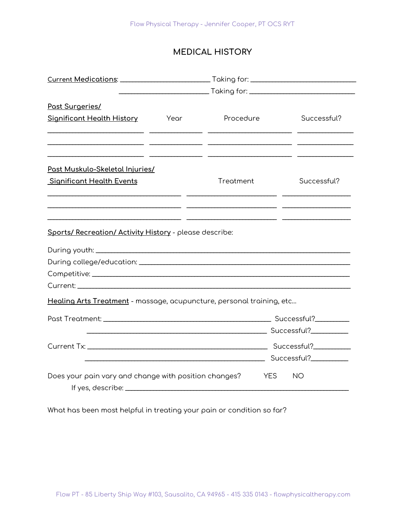# **MEDICAL HISTORY**

| Past Surgeries/                                                                                                                                                                                                                |                  |                                                                  |             |
|--------------------------------------------------------------------------------------------------------------------------------------------------------------------------------------------------------------------------------|------------------|------------------------------------------------------------------|-------------|
| <b>Significant Health History</b>                                                                                                                                                                                              | <b>Para Year</b> | Procedure                                                        | Successful? |
|                                                                                                                                                                                                                                |                  |                                                                  |             |
|                                                                                                                                                                                                                                |                  | <u> 1990 - Jan James James Sandar (h. 1980).</u>                 |             |
| <u>Past Muskulo-Skeletal Injuries/</u>                                                                                                                                                                                         |                  |                                                                  |             |
| <b>Significant Health Events</b>                                                                                                                                                                                               |                  | Treatment                                                        | Successful? |
|                                                                                                                                                                                                                                |                  | <u> 1999 - Jan James James Barnett, fransk kongresu (* 1908)</u> |             |
| <u> 1990 - Jan Salaman Salaman (j. 1990)</u>                                                                                                                                                                                   |                  |                                                                  |             |
|                                                                                                                                                                                                                                |                  |                                                                  |             |
| Sports/ Recreation/ Activity History - please describe:                                                                                                                                                                        |                  |                                                                  |             |
|                                                                                                                                                                                                                                |                  |                                                                  |             |
|                                                                                                                                                                                                                                |                  |                                                                  |             |
|                                                                                                                                                                                                                                |                  |                                                                  |             |
| Current: will be a series of the contract of the contract of the contract of the contract of the contract of the contract of the contract of the contract of the contract of the contract of the contract of the contract of t |                  |                                                                  |             |
| Healing Arts Treatment - massage, acupuncture, personal training, etc                                                                                                                                                          |                  |                                                                  |             |
|                                                                                                                                                                                                                                |                  |                                                                  |             |
|                                                                                                                                                                                                                                |                  |                                                                  |             |
|                                                                                                                                                                                                                                |                  |                                                                  |             |
|                                                                                                                                                                                                                                |                  | <u>Successful? Successful</u>                                    |             |
| Does your pain vary and change with position changes?                                                                                                                                                                          |                  | <b>YES</b>                                                       | <b>NO</b>   |
|                                                                                                                                                                                                                                |                  |                                                                  |             |

What has been most helpful in treating your pain or condition so far?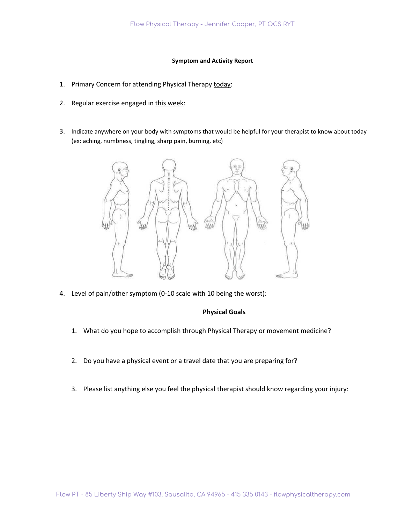#### **Symptom and Activity Report**

- 1. Primary Concern for attending Physical Therapy today:
- 2. Regular exercise engaged in this week:
- 3. Indicate anywhere on your body with symptoms that would be helpful for your therapist to know about today (ex: aching, numbness, tingling, sharp pain, burning, etc)



4. Level of pain/other symptom (0-10 scale with 10 being the worst):

### **Physical Goals**

- 1. What do you hope to accomplish through Physical Therapy or movement medicine?
- 2. Do you have a physical event or a travel date that you are preparing for?
- 3. Please list anything else you feel the physical therapist should know regarding your injury: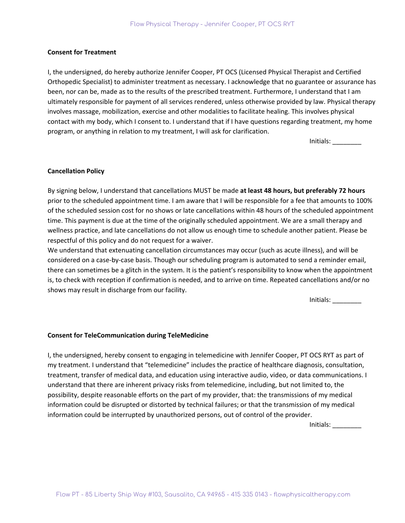#### **Consent for Treatment**

I, the undersigned, do hereby authorize Jennifer Cooper, PT OCS (Licensed Physical Therapist and Certified Orthopedic Specialist) to administer treatment as necessary. I acknowledge that no guarantee or assurance has been, nor can be, made as to the results of the prescribed treatment. Furthermore, I understand that I am ultimately responsible for payment of all services rendered, unless otherwise provided by law. Physical therapy involves massage, mobilization, exercise and other modalities to facilitate healing. This involves physical contact with my body, which I consent to. I understand that if I have questions regarding treatment, my home program, or anything in relation to my treatment, I will ask for clarification.

Initials: \_\_\_\_\_\_\_\_

### **Cancellation Policy**

By signing below, I understand that cancellations MUST be made **at least 48 hours, but preferably 72 hours** prior to the scheduled appointment time. I am aware that I will be responsible for a fee that amounts to 100% of the scheduled session cost for no shows or late cancellations within 48 hours of the scheduled appointment time. This payment is due at the time of the originally scheduled appointment. We are a small therapy and wellness practice, and late cancellations do not allow us enough time to schedule another patient. Please be respectful of this policy and do not request for a waiver.

We understand that extenuating cancellation circumstances may occur (such as acute illness), and will be considered on a case-by-case basis. Though our scheduling program is automated to send a reminder email, there can sometimes be a glitch in the system. It is the patient's responsibility to know when the appointment is, to check with reception if confirmation is needed, and to arrive on time. Repeated cancellations and/or no shows may result in discharge from our facility.

Initials: \_\_\_\_\_\_\_\_

#### **Consent for TeleCommunication during TeleMedicine**

I, the undersigned, hereby consent to engaging in telemedicine with Jennifer Cooper, PT OCS RYT as part of my treatment. I understand that "telemedicine" includes the practice of healthcare diagnosis, consultation, treatment, transfer of medical data, and education using interactive audio, video, or data communications. I understand that there are inherent privacy risks from telemedicine, including, but not limited to, the possibility, despite reasonable efforts on the part of my provider, that: the transmissions of my medical information could be disrupted or distorted by technical failures; or that the transmission of my medical information could be interrupted by unauthorized persons, out of control of the provider.

Initials: \_\_\_\_\_\_\_\_